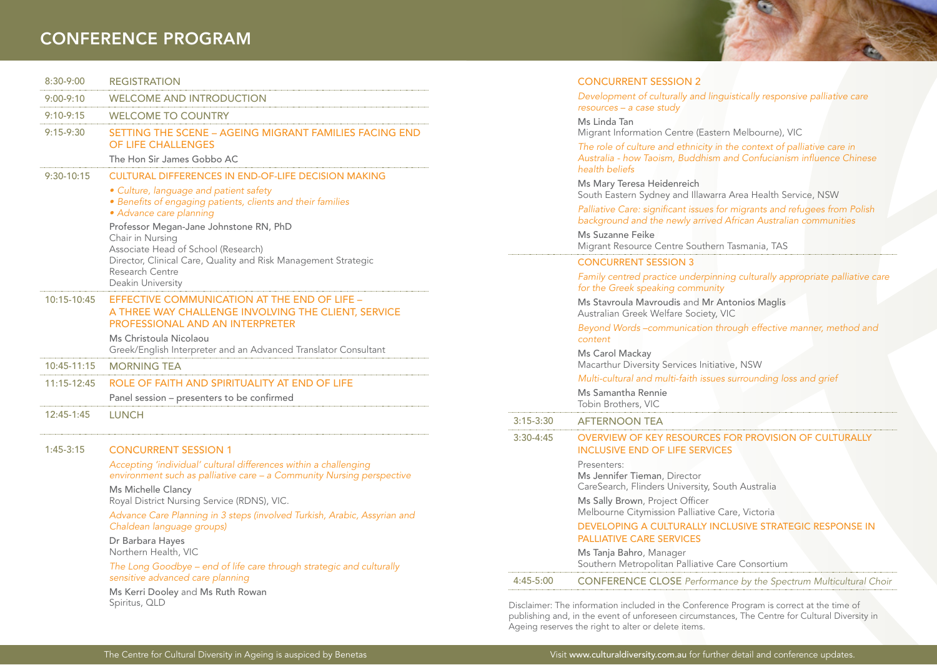## CONFERENCE PROGRAM

| 8:30-9:00     | <b>REGISTRATION</b>                                                                                                                                                                                         |
|---------------|-------------------------------------------------------------------------------------------------------------------------------------------------------------------------------------------------------------|
| 9:00-9:10     | <b>WELCOME AND INTRODUCTION</b>                                                                                                                                                                             |
| $9:10 - 9:15$ | <b>WELCOME TO COUNTRY</b>                                                                                                                                                                                   |
| $9:15 - 9:30$ | SETTING THE SCENE - AGEING MIGRANT FAMILIES FACING END<br><b>OF LIFE CHALLENGES</b>                                                                                                                         |
|               | The Hon Sir James Gobbo AC                                                                                                                                                                                  |
| $9:30-10:15$  | <b>CULTURAL DIFFERENCES IN END-OF-LIFE DECISION MAKING</b>                                                                                                                                                  |
|               | · Culture, language and patient safety<br>· Benefits of engaging patients, clients and their families<br>• Advance care planning                                                                            |
|               | Professor Megan-Jane Johnstone RN, PhD<br>Chair in Nursing<br>Associate Head of School (Research)<br>Director, Clinical Care, Quality and Risk Management Strategic<br>Research Centre<br>Deakin University |
| 10:15-10:45   | EFFECTIVE COMMUNICATION AT THE END OF LIFE -<br>A THREE WAY CHALLENGE INVOLVING THE CLIENT, SERVICE<br>PROFESSIONAL AND AN INTERPRETER                                                                      |
|               | Ms Christoula Nicolaou<br>Greek/English Interpreter and an Advanced Translator Consultant                                                                                                                   |
| 10:45-11:15   | <b>MORNING TEA</b>                                                                                                                                                                                          |
| $11:15-12:45$ | ROLE OF FAITH AND SPIRITUALITY AT END OF LIFE                                                                                                                                                               |
|               | Panel session - presenters to be confirmed                                                                                                                                                                  |
| 12:45-1:45    | <b>LUNCH</b>                                                                                                                                                                                                |
| $1:45-3:15$   | <b>CONCURRENT SESSION 1</b>                                                                                                                                                                                 |
|               | Accepting 'individual' cultural differences within a challenging<br>environment such as palliative care - a Community Nursing perspective                                                                   |
|               | Ms Michelle Clancy<br>Royal District Nursing Service (RDNS), VIC.                                                                                                                                           |
|               | Advance Care Planning in 3 steps (involved Turkish, Arabic, Assyrian and<br>Chaldean language groups)                                                                                                       |
|               | Dr Barbara Hayes<br>Northern Health, VIC                                                                                                                                                                    |

The Long Goodbye – end of life care through strategic and culturally sensitive advanced care planning

Ms Kerri Dooley and Ms Ruth Rowan Spiritus, QLD

|             | <b>CONCURRENT SESSION 2</b>                                                                                                                                     |
|-------------|-----------------------------------------------------------------------------------------------------------------------------------------------------------------|
|             | Development of culturally and linguistically responsive palliative care<br>$resources - a case study$                                                           |
|             | Ms Linda Tan<br>Migrant Information Centre (Eastern Melbourne), VIC                                                                                             |
|             | The role of culture and ethnicity in the context of palliative care in<br>Australia - how Taoism, Buddhism and Confucianism influence Chinese<br>health beliefs |
|             | Ms Mary Teresa Heidenreich<br>South Eastern Sydney and Illawarra Area Health Service, NSW                                                                       |
|             | Palliative Care: significant issues for migrants and refugees from Polish<br>background and the newly arrived African Australian communities                    |
|             | Ms Suzanne Feike<br>Migrant Resource Centre Southern Tasmania, TAS                                                                                              |
|             | <b>CONCURRENT SESSION 3</b>                                                                                                                                     |
|             | Family centred practice underpinning culturally appropriate palliative care<br>for the Greek speaking community                                                 |
|             | Ms Stavroula Mavroudis and Mr Antonios Maglis<br>Australian Greek Welfare Society, VIC                                                                          |
|             | Beyond Words-communication through effective manner, method and<br>content                                                                                      |
|             | Ms Carol Mackay<br>Macarthur Diversity Services Initiative, NSW                                                                                                 |
|             | Multi-cultural and multi-faith issues surrounding loss and grief                                                                                                |
|             | Ms Samantha Rennie<br>Tobin Brothers, VIC                                                                                                                       |
| $3:15-3:30$ | <b>AFTERNOON TEA</b>                                                                                                                                            |
| 3:30-4:45   | OVERVIEW OF KEY RESOURCES FOR PROVISION OF CULTURALLY<br><b>INCLUSIVE END OF LIFE SERVICES</b>                                                                  |
|             | Presenters:<br>Ms Jennifer Tieman, Director<br>CareSearch, Flinders University, South Australia                                                                 |
|             | Ms Sally Brown, Project Officer<br>Melbourne Citymission Palliative Care, Victoria                                                                              |
|             | DEVELOPING A CULTURALLY INCLUSIVE STRATEGIC RESPONSE IN<br><b>PALLIATIVE CARE SERVICES</b>                                                                      |
|             | Ms Tanja Bahro, Manager<br>Southern Metropolitan Palliative Care Consortium                                                                                     |
| 4:45-5:00   | <b>CONFERENCE CLOSE</b> Performance by the Spectrum Multicultural Choir                                                                                         |
|             |                                                                                                                                                                 |

Disclaimer: The information included in the Conference Program is correct at the time of publishing and, in the event of unforeseen circumstances, The Centre for Cultural Diversity in Ageing reserves the right to alter or delete items.